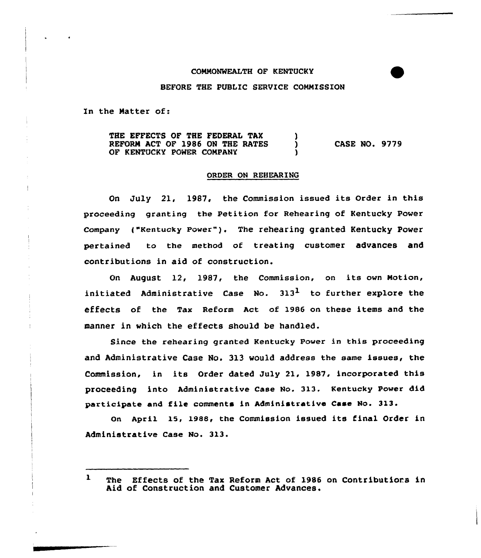## COMMONWEALTH OF KENTUCKY

## BEFORE THE PUBLIC SERVICE COMMISSION

In the Matter of:

THE EFFECTS OF THE FEDERAL TAK REFORM ACT OF 1986 ON THE RATES CASE NO. 9779 Υ OF KENTUCKY POWER COMPANY

## ORDER ON REHEARING

On July 21, 1987, the Commission issued its Order in this proceeding granting the Petition for Rehearing of Kentucky Power Company ("Kentucky Power"). The rehearing granted Kentucky Power pertained to the method of treating customer advances and contributions in aid of construction.

On August 12, 1987, the Commission, on its own Motion, initiated Administrative Case No.  $313<sup>1</sup>$  to further explore the effects of the Tax Reform Act of 1986 on these items and the manner in which the effects should be handled.

Since the rehearing granted Kentucky Power in this proceeding and Administrative Case No. 313 would address the same issues< the Commission, in its Order dated July 21, 1987, incorporated this proceeding into Administrative Case No. 313. Kentucky Power did participate and file comments in Administrative Case No. 313.

an Apri1 15, 1988, the Commission issued its final Order in Administrative Case No. 313.

 $\mathbf{1}$ The Effects of the Tax Reform Act of 1986 on Contributions in Aid of Construction and Customer Advances.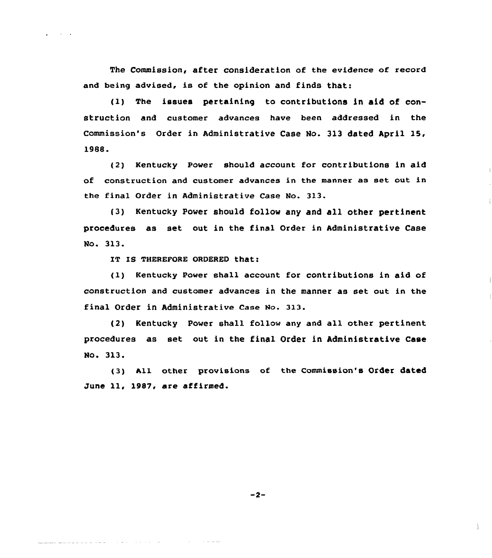The Commission, after consideration of the evidence of record and being advised, is of the opinion and finds that:

(1) The issues pertaining to contributions in aid of con-Struction and customer advances have been addressed in the Commission's Order in Administrative Case No. 3l3 dated April 15, 1988.

(2) Kentucky Power should account for contributions in aid of construction and customer advances in the manner as set out in the final Order in Administrative Case No. 313.

(3) Kentucky Power should follow any and all other pertinent procedures as set out in the final Order in Administrative Case Wo. 313.

IT IS THEREFORE ORDERED that:

<u> De la característica de la característica de la característica de la característica de la característica de l</u>

(1) Kentucky Power shall account for contributions in aid of construction and customer advances in the manner as set out in the final Order in Administrative Case No. 313.

(2) Kentucky Power shall follow any and all other pertinent procedures as set out in the final Order in Administrative Case No. 313.

(3) All other provisions of the Commission's Order dated June ll, 1987, are affirmed.

 $-2-$ 

and the contract and an

 $\mathbb{R}$